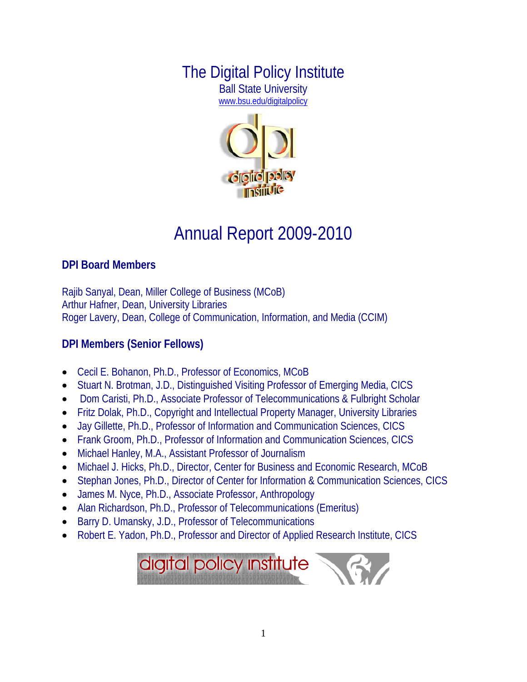# The Digital Policy Institute Ball State University

[www.bsu.edu/digitalpolicy](http://www.bsu.edu/digitalpolicy)



# Annual Report 2009-2010

#### **DPI Board Members**

Rajib Sanyal, Dean, Miller College of Business (MCoB) Arthur Hafner, Dean, University Libraries Roger Lavery, Dean, College of Communication, Information, and Media (CCIM)

## **DPI Members (Senior Fellows)**

- Cecil E. Bohanon, Ph.D., Professor of Economics, MCoB
- Stuart N. Brotman, J.D., Distinguished Visiting Professor of Emerging Media, CICS
- Dom Caristi, Ph.D., Associate Professor of Telecommunications & Fulbright Scholar
- Fritz Dolak, Ph.D., Copyright and Intellectual Property Manager, University Libraries
- Jay Gillette, Ph.D., Professor of Information and Communication Sciences, CICS
- Frank Groom, Ph.D., Professor of Information and Communication Sciences, CICS
- Michael Hanley, M.A., Assistant Professor of Journalism
- Michael J. Hicks, Ph.D., Director, Center for Business and Economic Research, MCoB
- Stephan Jones, Ph.D., Director of Center for Information & Communication Sciences, CICS
- James M. Nyce, Ph.D., Associate Professor, Anthropology
- Alan Richardson, Ph.D., Professor of Telecommunications (Emeritus)
- Barry D. Umansky, J.D., Professor of Telecommunications
- Robert E. Yadon, Ph.D., Professor and Director of Applied Research Institute, CICS

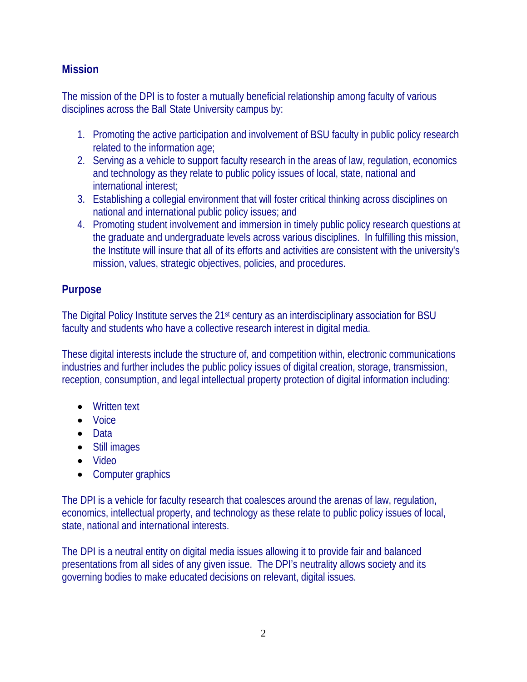#### **Mission**

The mission of the DPI is to foster a mutually beneficial relationship among faculty of various disciplines across the Ball State University campus by:

- 1. Promoting the active participation and involvement of BSU faculty in public policy research related to the information age;
- 2. Serving as a vehicle to support faculty research in the areas of law, regulation, economics and technology as they relate to public policy issues of local, state, national and international interest;
- 3. Establishing a collegial environment that will foster critical thinking across disciplines on national and international public policy issues; and
- 4. Promoting student involvement and immersion in timely public policy research questions at the graduate and undergraduate levels across various disciplines. In fulfilling this mission, the Institute will insure that all of its efforts and activities are consistent with the university's mission, values, strategic objectives, policies, and procedures.

#### **Purpose**

The Digital Policy Institute serves the 21<sup>st</sup> century as an interdisciplinary association for BSU faculty and students who have a collective research interest in digital media.

These digital interests include the structure of, and competition within, electronic communications industries and further includes the public policy issues of digital creation, storage, transmission, reception, consumption, and legal intellectual property protection of digital information including:

- Written text
- Voice
- Data
- Still images
- Video
- Computer graphics

The DPI is a vehicle for faculty research that coalesces around the arenas of law, regulation, economics, intellectual property, and technology as these relate to public policy issues of local, state, national and international interests.

The DPI is a neutral entity on digital media issues allowing it to provide fair and balanced presentations from all sides of any given issue. The DPI's neutrality allows society and its governing bodies to make educated decisions on relevant, digital issues.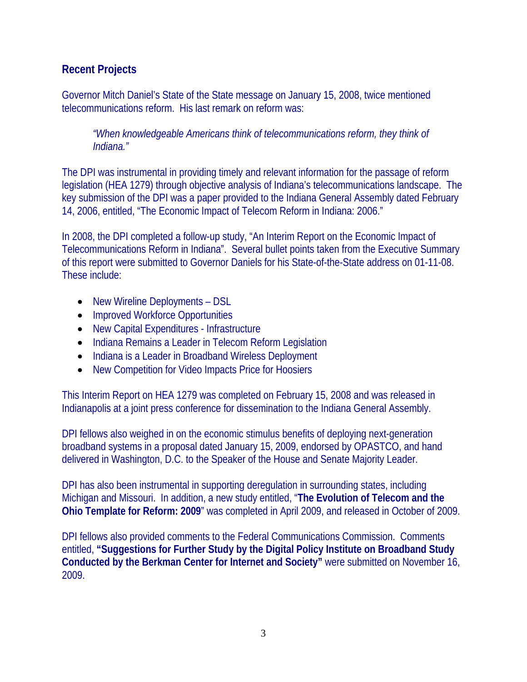#### **Recent Projects**

Governor Mitch Daniel's State of the State message on January 15, 2008, twice mentioned telecommunications reform. His last remark on reform was:

*"When knowledgeable Americans think of telecommunications reform, they think of Indiana."* 

The DPI was instrumental in providing timely and relevant information for the passage of reform legislation (HEA 1279) through objective analysis of Indiana's telecommunications landscape. The key submission of the DPI was a paper provided to the Indiana General Assembly dated February 14, 2006, entitled, "The Economic Impact of Telecom Reform in Indiana: 2006."

In 2008, the DPI completed a follow-up study, "An Interim Report on the Economic Impact of Telecommunications Reform in Indiana". Several bullet points taken from the Executive Summary of this report were submitted to Governor Daniels for his State-of-the-State address on 01-11-08. These include:

- New Wireline Deployments DSL
- Improved Workforce Opportunities
- New Capital Expenditures Infrastructure
- Indiana Remains a Leader in Telecom Reform Legislation
- Indiana is a Leader in Broadband Wireless Deployment
- New Competition for Video Impacts Price for Hoosiers

This Interim Report on HEA 1279 was completed on February 15, 2008 and was released in Indianapolis at a joint press conference for dissemination to the Indiana General Assembly.

DPI fellows also weighed in on the economic stimulus benefits of deploying next-generation broadband systems in a proposal dated January 15, 2009, endorsed by OPASTCO, and hand delivered in Washington, D.C. to the Speaker of the House and Senate Majority Leader.

DPI has also been instrumental in supporting deregulation in surrounding states, including Michigan and Missouri. In addition, a new study entitled, "**The Evolution of Telecom and the Ohio Template for Reform: 2009**" was completed in April 2009, and released in October of 2009.

DPI fellows also provided comments to the Federal Communications Commission. Comments entitled, **"Suggestions for Further Study by the Digital Policy Institute on Broadband Study Conducted by the Berkman Center for Internet and Society"** were submitted on November 16, 2009.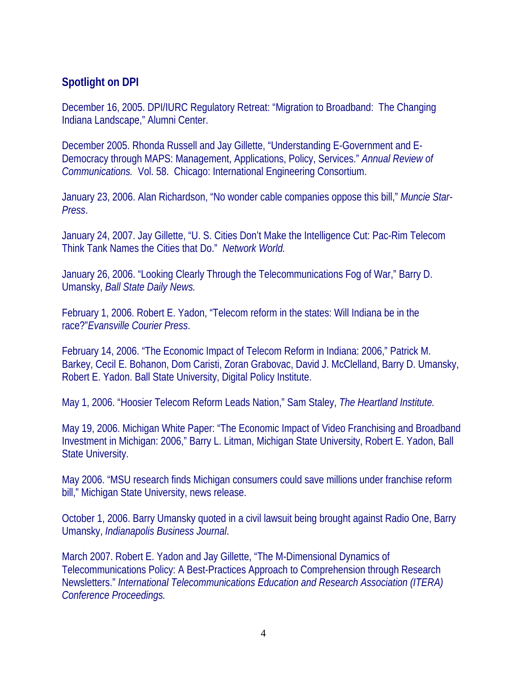#### **Spotlight on DPI**

December 16, 2005. DPI/IURC Regulatory Retreat: "Migration to Broadband: The Changing Indiana Landscape," Alumni Center.

December 2005. Rhonda Russell and Jay Gillette, "Understanding E-Government and E-Democracy through MAPS: Management, Applications, Policy, Services." *Annual Review of Communications.* Vol. 58. Chicago: International Engineering Consortium.

January 23, 2006. Alan Richardson, "No wonder cable companies oppose this bill," *Muncie Star-Press*.

January 24, 2007. Jay Gillette, "U. S. Cities Don't Make the Intelligence Cut: Pac-Rim Telecom Think Tank Names the Cities that Do." *Network World.*

January 26, 2006. "Looking Clearly Through the Telecommunications Fog of War," Barry D. Umansky, *Ball State Daily News.*

February 1, 2006. Robert E. Yadon, "Telecom reform in the states: Will Indiana be in the race?"*Evansville Courier Press*.

February 14, 2006. "The Economic Impact of Telecom Reform in Indiana: 2006," Patrick M. Barkey, Cecil E. Bohanon, Dom Caristi, Zoran Grabovac, David J. McClelland, Barry D. Umansky, Robert E. Yadon. Ball State University, Digital Policy Institute.

May 1, 2006. "Hoosier Telecom Reform Leads Nation," Sam Staley, *The Heartland Institute.*

May 19, 2006. Michigan White Paper: "The Economic Impact of Video Franchising and Broadband Investment in Michigan: 2006," Barry L. Litman, Michigan State University, Robert E. Yadon, Ball State University.

May 2006. "MSU research finds Michigan consumers could save millions under franchise reform bill," Michigan State University, news release.

October 1, 2006. Barry Umansky quoted in a civil lawsuit being brought against Radio One, Barry Umansky, *Indianapolis Business Journal*.

March 2007. Robert E. Yadon and Jay Gillette, "The M-Dimensional Dynamics of Telecommunications Policy: A Best-Practices Approach to Comprehension through Research Newsletters." *International Telecommunications Education and Research Association (ITERA) Conference Proceedings.*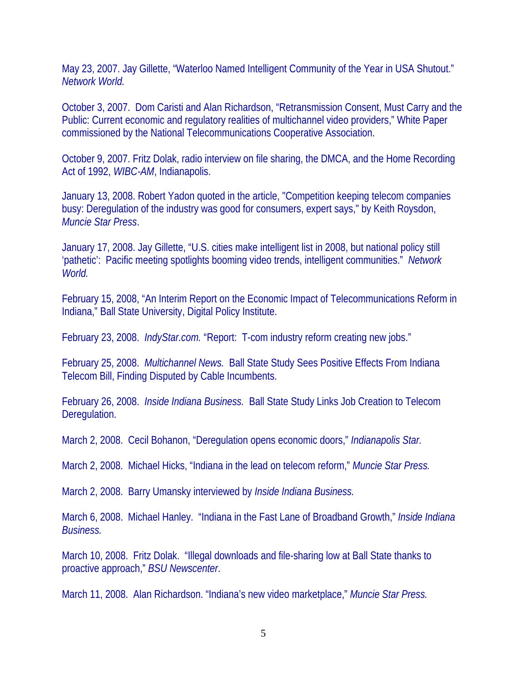May 23, 2007. Jay Gillette, "Waterloo Named Intelligent Community of the Year in USA Shutout." *Network World.*

October 3, 2007. Dom Caristi and Alan Richardson, "Retransmission Consent, Must Carry and the Public: Current economic and regulatory realities of multichannel video providers," White Paper commissioned by the National Telecommunications Cooperative Association.

October 9, 2007. Fritz Dolak, radio interview on file sharing, the DMCA, and the Home Recording Act of 1992, *WIBC-AM*, Indianapolis.

January 13, 2008. Robert Yadon quoted in the article, "Competition keeping telecom companies busy: Deregulation of the industry was good for consumers, expert says," by Keith Roysdon, *Muncie Star Press*.

January 17, 2008. Jay Gillette, "U.S. cities make intelligent list in 2008, but national policy still 'pathetic': Pacific meeting spotlights booming video trends, intelligent communities." *Network World.*

February 15, 2008, "An Interim Report on the Economic Impact of Telecommunications Reform in Indiana," Ball State University, Digital Policy Institute.

February 23, 2008. *IndyStar.com.* "Report: T-com industry reform creating new jobs."

February 25, 2008. *Multichannel News.* Ball State Study Sees Positive Effects From Indiana Telecom Bill, Finding Disputed by Cable Incumbents.

February 26, 2008. *Inside Indiana Business.* Ball State Study Links Job Creation to Telecom Deregulation.

March 2, 2008. Cecil Bohanon, "Deregulation opens economic doors," *Indianapolis Star.*

March 2, 2008. Michael Hicks, "Indiana in the lead on telecom reform," *Muncie Star Press.*

March 2, 2008. Barry Umansky interviewed by *Inside Indiana Business.*

March 6, 2008. Michael Hanley. "Indiana in the Fast Lane of Broadband Growth," *Inside Indiana Business.* 

March 10, 2008. Fritz Dolak. "Illegal downloads and file-sharing low at Ball State thanks to proactive approach," *BSU Newscenter*.

March 11, 2008. Alan Richardson. "Indiana's new video marketplace," *Muncie Star Press.*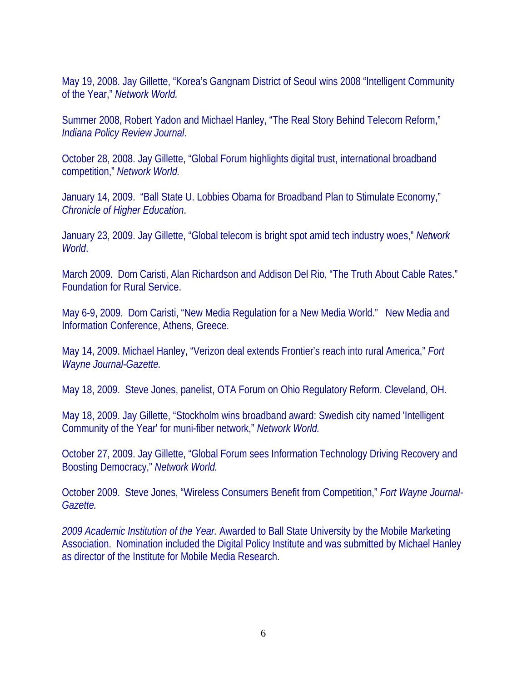May 19, 2008. Jay Gillette, "Korea's Gangnam District of Seoul wins 2008 "Intelligent Community of the Year," *Network World.*

Summer 2008, Robert Yadon and Michael Hanley, "The Real Story Behind Telecom Reform," *Indiana Policy Review Journal*.

October 28, 2008. Jay Gillette, "Global Forum highlights digital trust, international broadband competition," *Network World.*

January 14, 2009. "Ball State U. Lobbies Obama for Broadband Plan to Stimulate Economy," *Chronicle of Higher Education*.

January 23, 2009. Jay Gillette, "Global telecom is bright spot amid tech industry woes," *Network World*.

March 2009. Dom Caristi, Alan Richardson and Addison Del Rio, "The Truth About Cable Rates." Foundation for Rural Service.

May 6-9, 2009. Dom Caristi, "New Media Regulation for a New Media World." New Media and Information Conference, Athens, Greece.

May 14, 2009. Michael Hanley, "Verizon deal extends Frontier's reach into rural America," *Fort Wayne Journal-Gazette.*

May 18, 2009. Steve Jones, panelist, OTA Forum on Ohio Regulatory Reform. Cleveland, OH.

May 18, 2009. Jay Gillette, "Stockholm wins broadband award: Swedish city named 'Intelligent Community of the Year' for muni-fiber network," *Network World.*

October 27, 2009. Jay Gillette, "Global Forum sees Information Technology Driving Recovery and Boosting Democracy," *Network World.* 

October 2009. Steve Jones, "Wireless Consumers Benefit from Competition," *Fort Wayne Journal-Gazette.* 

*2009 Academic Institution of the Year.* Awarded to Ball State University by the Mobile Marketing Association. Nomination included the Digital Policy Institute and was submitted by Michael Hanley as director of the Institute for Mobile Media Research.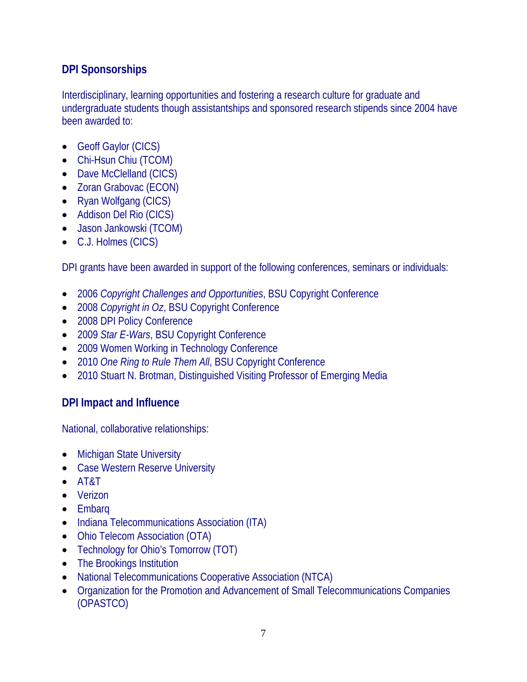#### **DPI Sponsorships**

Interdisciplinary, learning opportunities and fostering a research culture for graduate and undergraduate students though assistantships and sponsored research stipends since 2004 have been awarded to:

- Geoff Gaylor (CICS)
- Chi-Hsun Chiu (TCOM)
- Dave McClelland (CICS)
- Zoran Grabovac (ECON)
- Ryan Wolfgang (CICS)
- Addison Del Rio (CICS)
- Jason Jankowski (TCOM)
- C.J. Holmes (CICS)

DPI grants have been awarded in support of the following conferences, seminars or individuals:

- 2006 *Copyright Challenges and Opportunities*, BSU Copyright Conference
- 2008 *Copyright in Oz*, BSU Copyright Conference
- 2008 DPI Policy Conference
- 2009 *Star E-Wars*, BSU Copyright Conference
- 2009 Women Working in Technology Conference
- 2010 *One Ring to Rule Them All*, BSU Copyright Conference
- 2010 Stuart N. Brotman, Distinguished Visiting Professor of Emerging Media

#### **DPI Impact and Influence**

National, collaborative relationships:

- Michigan State University
- Case Western Reserve University
- AT&T
- Verizon
- Embarq
- Indiana Telecommunications Association (ITA)
- Ohio Telecom Association (OTA)
- Technology for Ohio's Tomorrow (TOT)
- The Brookings Institution
- National Telecommunications Cooperative Association (NTCA)
- Organization for the Promotion and Advancement of Small Telecommunications Companies (OPASTCO)